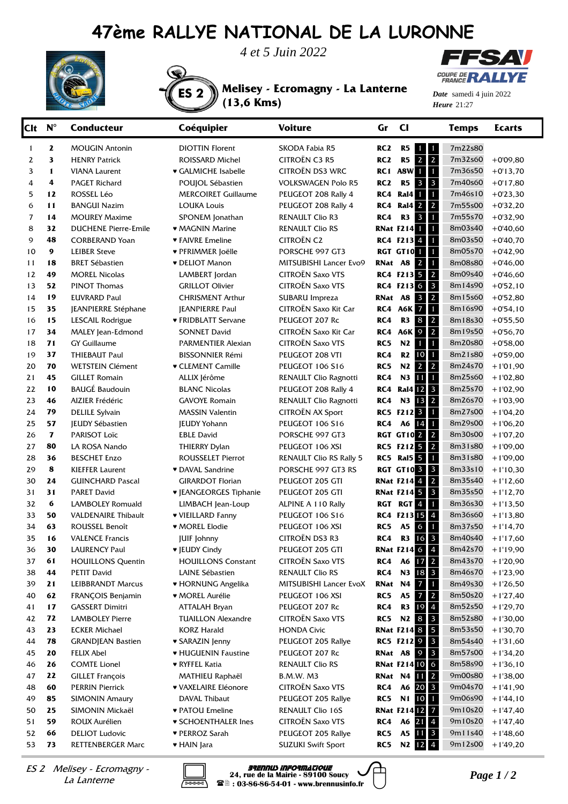## **47ème RALLYE NATIONAL DE LA LURONNE**

ES 2 **Melisey - Ecromagny - La Lanterne** 





**(13,6 Kms)** 



*Date* samedi 4 juin 2022 *Heure* 21:27

| Clt | $N^{\circ}$  | <b>Conducteur</b>           | Coéquipier                    | <b>Voiture</b>                 | Gr              | $_{\rm CI}$                                     | <b>Temps</b> | <b>Ecarts</b> |
|-----|--------------|-----------------------------|-------------------------------|--------------------------------|-----------------|-------------------------------------------------|--------------|---------------|
| 1   | $\mathbf{z}$ | <b>MOUGIN Antonin</b>       | <b>DIOTTIN Florent</b>        | SKODA Fabia R5                 | RC <sub>2</sub> | R5<br>1<br>1                                    | 7m22s80      |               |
| 2   | 3            | <b>HENRY Patrick</b>        | <b>ROISSARD Michel</b>        | <b>CITROËN C3 R5</b>           | RC <sub>2</sub> | $\mathbf{2}$<br>R5<br>$\overline{2}$            | 7m32s60      | $+0'09,80$    |
| 3   | 1            | <b>VIANA Laurent</b>        | ♥ GALMICHE Isabelle           | CITROËN DS3 WRC                | RC <sub>1</sub> | A8W <sub>1</sub><br>$\mathbf{1}$                | 7m36s50      | $+0'13,70$    |
| 4   | 4            | <b>PAGET Richard</b>        | POUJOL Sébastien              | <b>VOLKSWAGEN Polo R5</b>      | RC <sub>2</sub> | R5<br>$\mathbf{3}$<br>3 <sup>1</sup>            | 7m40s60      | $+0'17,80$    |
| 5   | 12           | <b>ROSSEL Léo</b>           | <b>MERCOIRET Guillaume</b>    | PEUGEOT 208 Rally 4            | RC4             | <b>Ral4</b> 1<br>$\mathbf{1}$                   | 7m46s10      | $+0'23,30$    |
| 6   | 11           | <b>BANGUI Nazim</b>         | <b>LOUKA Louis</b>            | PEUGEOT 208 Rally 4            | RC4             | $\overline{2}$<br><b>Ral4 2</b>                 | 7m55s00      | $+0'32,20$    |
| 7   | 14           | <b>MOUREY Maxime</b>        | SPONEM Jonathan               | RENAULT Clio R3                | RC4             | R3<br>$\mathbf{1}$<br>3 <sup>1</sup>            | 7m55s70      | $+0'32,90$    |
| 8   | 32           | <b>DUCHENE Pierre-Emile</b> | <b>v</b> MAGNIN Marine        | <b>RENAULT Clio RS</b>         |                 | <b>RNat F214</b> 1<br>$\mathbf{1}$              | 8m03s40      | $+0'40,60$    |
| 9   | 48           | <b>CORBERAND Yoan</b>       | ▼ FAIVRE Emeline              | <b>CITROËN C2</b>              |                 | RC4 F2134<br>$\mathbf{1}$                       | 8m03s50      | $+0'40,70$    |
| 10  | 9            | <b>LEIBER Steve</b>         | ♥ PFRIMMER Joëlle             | PORSCHE 997 GT3                |                 | RGT GT1011<br>$\mathbf{1}$                      | 8m05s70      | $+0'42,90$    |
| 11  | 18           | <b>BRET Sébastien</b>       | <b>v</b> DELIOT Manon         | MITSUBISHI Lancer Evo9         | RNat A8         | $\overline{2}$<br>$\mathbf{1}$                  | 8m08s80      | $+0'46,00$    |
| 12  | 49           | <b>MOREL Nicolas</b>        | LAMBERT Jordan                | <b>CITROËN Saxo VTS</b>        |                 | RC4 F213 5<br>$\overline{2}$                    | 8m09s40      | $+0'46,60$    |
| 13  | 52           | PINOT Thomas                | <b>GRILLOT Olivier</b>        | <b>CITROËN Saxo VTS</b>        |                 | RC4 F213 6<br>$\mathbf{3}$                      | 8m14s90      | $+0'52,10$    |
| 14  | 19           | <b>EUVRARD Paul</b>         | <b>CHRISMENT Arthur</b>       | SUBARU Impreza                 | RNat A8         | $\overline{2}$<br>3 <sub>1</sub>                | 8m15s60      | $+0'52,80$    |
| 15  | 35           | JEANPIERRE Stéphane         | <b>JEANPIERRE Paul</b>        | CITROËN Saxo Kit Car           | RC4             | $\mathbf{1}$<br>A6K 7                           | 8m16s90      | $+0'54,10$    |
| 16  | 15           | LESCAIL Rodrigue            | ♥ FRIDBLATT Servane           | PEUGEOT 207 Rc                 | RC4             | $\overline{2}$<br>R <sub>3</sub><br>8           | 8m18s30      | $+0'55,50$    |
| 17  | 34           | MALEY Jean-Edmond           | <b>SONNET David</b>           | CITROËN Saxo Kit Car           | RC4             | <b>A6K 9</b><br>$\overline{2}$                  | 8m19s50      | $+0'56,70$    |
| 18  | 71           | <b>GY Guillaume</b>         | PARMENTIER Alexian            | <b>CITROËN Saxo VTS</b>        | RC5             | N2<br>$\mathbf{1}$<br>$\mathbf{1}$              | 8m20s80      | $+0'58,00$    |
| 19  | 37           | <b>THIEBAUT Paul</b>        | <b>BISSONNIER Rémi</b>        | PEUGEOT 208 VTI                | RC4             | R2<br>$\mathbf{1}$<br>10 <sup>1</sup>           | 8m21s80      | $+0'59,00$    |
| 20  | 70           | <b>WETSTEIN Clément</b>     | <b>v</b> CLEMENT Camille      | <b>PEUGEOT 106 S16</b>         | RC5             | $\overline{2}$<br>N2<br>2 <sup>1</sup>          | 8m24s70      | $+1'01,90$    |
| 21  | 45           | <b>GILLET Romain</b>        | ALLIX Jérôme                  | RENAULT Clio Ragnotti          | RC4             | N3<br>1<br>111                                  | 8m25s60      | $+1'02,80$    |
| 22  | 10           | <b>BAUGÉ Baudouin</b>       | <b>BLANC Nicolas</b>          | PEUGEOT 208 Rally 4            | RC4             | Ral4 12 3                                       | 8m25s70      | $+1'02,90$    |
| 23  | 46           | AIZIER Frédéric             | <b>GAVOYE Romain</b>          | RENAULT Clio Ragnotti          | RC4             | N3 13 2                                         | 8m26s70      | $+1'03,90$    |
| 24  | 79           | <b>DELILE Sylvain</b>       | <b>MASSIN Valentin</b>        | CITROËN AX Sport               | RC5             | F212 <sub>3</sub><br>$\mathbf{1}$               | 8m27s00      | $+1'04,20$    |
| 25  | 57           | <b>JEUDY Sébastien</b>      | <b>JEUDY Yohann</b>           | <b>PEUGEOT 106 S16</b>         | RC4             | A6<br>$\mathbf{1}$<br>14                        | 8m29s00      | $+1'06,20$    |
| 26  | $\mathbf{7}$ | PARISOT Loïc                | <b>EBLE David</b>             | PORSCHE 997 GT3                |                 | <b>RGT GT10 2</b><br>$\overline{2}$             | 8m30s00      | $+1'07,20$    |
| 27  | 80           | LA ROSA Nando               | <b>THIERRY Dylan</b>          | PEUGEOT 106 XSI                |                 | RC5 F212 5<br>$\overline{2}$                    | 8m31s80      | $+1'09,00$    |
| 28  | 36           | <b>BESCHET Enzo</b>         | <b>ROUSSELET Pierrot</b>      | <b>RENAULT Clio RS Rally 5</b> | RC5             | <b>Ral5</b> 5<br>$\mathbf{1}$                   | 8m31s80      | $+1'09,00$    |
| 29  | 8            | <b>KIEFFER Laurent</b>      | ♥ DAVAL Sandrine              | PORSCHE 997 GT3 RS             |                 | <b>RGT GT10 3</b><br>$\mathbf{3}$               | 8m33s10      | $+1'10,30$    |
| 30  | 24           | <b>GUINCHARD Pascal</b>     | <b>GIRARDOT Florian</b>       | PEUGEOT 205 GTI                |                 | <b>RNat F214 4</b><br>$\overline{2}$            | 8m35s40      | $+1'12,60$    |
| 31  | 31           | <b>PARET David</b>          | <b>v</b> JEANGEORGES Tiphanie | PEUGEOT 205 GTI                |                 | <b>RNat F214 5</b><br>$\mathbf{3}$              | 8m35s50      | $+1'12,70$    |
| 32  | 6            | LAMBOLEY Romuald            | LIMBACH Jean-Loup             | ALPINE A 110 Rally             |                 | RGT RGT 4<br>$\mathbf{1}$                       | 8m36s30      | $+1'13,50$    |
| 33  | 50           | <b>VALDENAIRE Thibault</b>  | ♥ VIEILLARD Fanny             | <b>PEUGEOT 106 S16</b>         |                 | RC4 F213 <sup>154</sup>                         | 8m36s60      | $+1'13,80$    |
| 34  | 63           | ROUSSEL Benoît              | ♥ MOREL Elodie                | PEUGEOT 106 XSI                | RC5             | <b>A5</b><br>6 <sub>l</sub><br>$\mathbf{1}$     | 8m37s50      | $+1'14,70$    |
| 35  | 16           | <b>VALENCE Francis</b>      | <b>JUIF Johnny</b>            | <b>CITROËN DS3 R3</b>          | RC4             | $\overline{\mathbf{3}}$<br>R <sub>3</sub><br>16 | 8m40s40      | $+1'17,60$    |
| 36  | 30           | <b>LAURENCY Paul</b>        | • JEUDY Cindy                 | PEUGEOT 205 GTI                |                 | <b>RNat F214 6 4</b>                            | 8m42s70      | $+1'19,90$    |
| 37  | 61           | <b>HOUILLONS Quentin</b>    | <b>HOUILLONS Constant</b>     | <b>CITROËN Saxo VTS</b>        | RC4             | A6 17 2                                         | 8m43s70      | $+1'20,90$    |
| 38  | 44           | PETIT David                 | LAINE Sébastien               | <b>RENAULT Clio RS</b>         | RC4             | N3 18 3                                         | 8m46s70      | $+1'23,90$    |
| 39  | 21           | <b>LEIBBRANDT Marcus</b>    | • HORNUNG Angelika            | MITSUBISHI Lancer EvoX         | RNat            | <b>N4</b><br>$\overline{7}$<br>$\mathbf{1}$     | 8m49s30      | $+1'26,50$    |
| 40  | 62           | FRANÇOIS Benjamin           | ♥ MOREL Aurélie               | PEUGEOT 106 XSI                | RC5             | <b>A5</b><br>$\bullet$<br>$\overline{2}$        | 8m50s20      | $+1'27,40$    |
| 41  | 17           | <b>GASSERT Dimitri</b>      | ATTALAH Bryan                 | PEUGEOT 207 Rc                 | RC4             | R3<br>19 4                                      | 8m52s50      | $+1'29,70$    |
| 42  | 72           | <b>LAMBOLEY Pierre</b>      | <b>TUAILLON Alexandre</b>     | CITROËN Saxo VTS               | RC5             | N2 8 3                                          | 8m52s80      | $+1'30,00$    |
| 43  | 23           | <b>ECKER Michael</b>        | <b>KORZ Harald</b>            | <b>HONDA Civic</b>             |                 | <b>RNat F214 8 5</b>                            | 8m53s50      | $+1'30,70$    |
| 44  | 78           | <b>GRANDJEAN Bastien</b>    | ♥ SARAZIN Jenny               | PEUGEOT 205 Rallye             |                 | RC5 F212 9 3                                    | 8m54s40      | $+1'31,60$    |
| 45  | 20           | <b>FELIX Abel</b>           | ♥ HUGUENIN Faustine           | PEUGEOT 207 Rc                 |                 | <b>RNat A8 9 3</b>                              | 8m57s00      | $+1'34,20$    |
| 46  | 26           | <b>COMTE Lionel</b>         | ♥ RYFFEL Katia                | <b>RENAULT Clio RS</b>         |                 | <b>RNat F21410 6</b>                            | 8m58s90      | $+1'36,10$    |
| 47  | 22           | <b>GILLET François</b>      | MATHIEU Raphaël               | <b>B.M.W. M3</b>               |                 | <b>RNat N4 11 2</b>                             | 9m00s80      | $+1'38,00$    |
| 48  | 60           | <b>PERRIN Pierrick</b>      | ♥ VAXELAIRE Eléonore          | CITROËN Saxo VTS               | RC4             | A6 20 3                                         | 9m04s70      | $+1'41,90$    |
| 49  | 85           | <b>SIMONIN Amaury</b>       | DAVAL Thibaut                 | PEUGEOT 205 Rallye             | RC5             | N1 10<br>$\blacksquare$                         | 9m06s90      | $+1'44,10$    |
| 50  | 25           | SIMONIN Mickaël             | ♥ PATOU Emeline               | RENAULT Clio 16S               |                 | <b>RNat F214 12 7</b>                           | 9m10s20      | $+1'47,40$    |
| 51  | 59           | ROUX Aurélien               | <b>v SCHOENTHALER Ines</b>    | CITROËN Saxo VTS               | RC4             | A6 21 4                                         | 9m10s20      | $+1'47,40$    |
| 52  | 66           | <b>DELIOT Ludovic</b>       | ♥ PERROZ Sarah                | PEUGEOT 205 Rallye             | RC5             | A5 11 3                                         | 9m11s40      | $+1'48,60$    |
| 53  | 73           | <b>RETTENBERGER Marc</b>    | ♥ HAIN Jara                   | <b>SUZUKI Swift Sport</b>      | RC5             | N2 12 4                                         | 9m12s00      | $+1'49,20$    |

La Lanterne



*PARISES 2 Melisey - Ecromagny -* **1998** 24, rue de la Mairie - 89100 Soucy **Communication**<br>La Lanterne **24, rue de la Mairie - 89100 Soucy Communication** *Page 1/2*